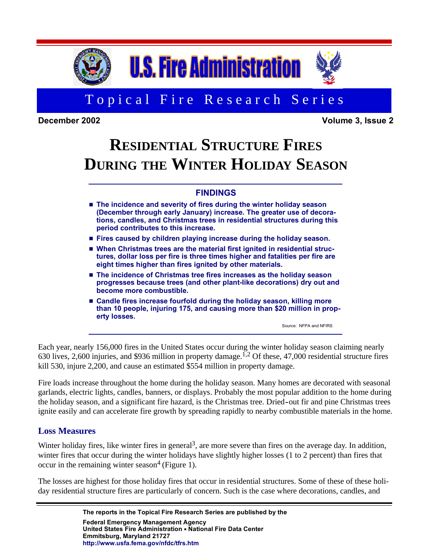

# Topical Fire Research Series

**December 2002 Volume 3, Issue 2**

# **RESIDENTIAL STRUCTURE FIRES DURING THE WINTER HOLIDAY SEASON**

# **FINDINGS**

- The incidence and severity of fires during the winter holiday season **(December through early January) increase. The greater use of decorations, candles, and Christmas trees in residential structures during this period contributes to this increase.**
- H **Fires caused by children playing increase during the holiday season.**
- When Christmas trees are the material first ignited in residential struc**tures, dollar loss per fire is three times higher and fatalities per fire are eight times higher than fires ignited by other materials.**
- The incidence of Christmas tree fires increases as the holiday season **progresses because trees (and other plant-like decorations) dry out and become more combustible.**
- H **Candle fires increase fourfold during the holiday season, killing more than 10 people, injuring 175, and causing more than \$20 million in property losses.**

Source: NFPA and NFIRS

Each year, nearly 156,000 fires in the United States occur during the winter holiday season claiming nearly 630 lives, 2,600 injuries, and \$936 million in property damage.<sup>1,2</sup> Of these, 47,000 residential structure fires kill 530, injure 2,200, and cause an estimated \$554 million in property damage.

the holiday season, and a significant fire hazard, is the Christmas tree. Dried-out fir and pine Christmas trees Fire loads increase throughout the home during the holiday season. Many homes are decorated with seasonal garlands, electric lights, candles, banners, or displays. Probably the most popular addition to the home during ignite easily and can accelerate fire growth by spreading rapidly to nearby combustible materials in the home.

# **Loss Measures**

Winter holiday fires, like winter fires in general<sup>3</sup>, are more severe than fires on the average day. In addition, winter fires that occur during the winter holidays have slightly higher losses (1 to 2 percent) than fires that occur in the remaining winter season<sup>4</sup> (Figure 1).

The losses are highest for those holiday fires that occur in residential structures. Some of these of these holiday residential structure fires are particularly of concern. Such is the case where decorations, candles, and

> **The reports in the Topical Fire Research Series are published by the Federal Emergency Management Agency United States Fire Administration • National Fire Data Center Emmitsburg, Maryland 21727 [http://www.usfa.fema.gov/nfdc/tfrs.htm](http://www.usfa.fema.gov/dhtml/inside-usfa/tfrs.cfm)**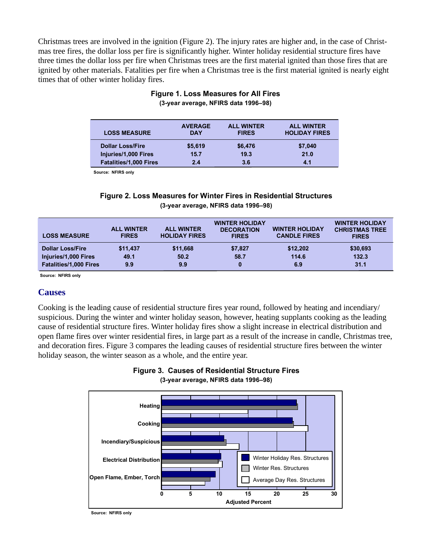Christmas trees are involved in the ignition (Figure 2). The injury rates are higher and, in the case of Christmas tree fires, the dollar loss per fire is significantly higher. Winter holiday residential structure fires have three times the dollar loss per fire when Christmas trees are the first material ignited than those fires that are ignited by other materials. Fatalities per fire when a Christmas tree is the first material ignited is nearly eight times that of other winter holiday fires.

| <b>LOSS MEASURE</b>           | <b>AVERAGE</b><br><b>DAY</b> | <b>ALL WINTER</b><br><b>FIRES</b> | <b>ALL WINTER</b><br><b>HOLIDAY FIRES</b> |
|-------------------------------|------------------------------|-----------------------------------|-------------------------------------------|
| <b>Dollar Loss/Fire</b>       | \$5,619                      | \$6,476                           | \$7,040                                   |
| Injuries/1,000 Fires          | 15.7                         | 19.3                              | 21.0                                      |
| <b>Fatalities/1,000 Fires</b> | 2.4                          | 3.6                               | 4.1                                       |

#### **Figure 1. Loss Measures for All Fires (3-year average, NFIRS data 1996–98)**

**Source: NFIRS only**

#### **Figure 2. Loss Measures for Winter Fires in Residential Structures (3-year average, NFIRS data 1996–98)**

| <b>LOSS MEASURE</b>           | <b>ALL WINTER</b><br><b>FIRES</b> | <b>ALL WINTER</b><br><b>HOLIDAY FIRES</b> | <b>WINTER HOLIDAY</b><br><b>DECORATION</b><br><b>FIRES</b> | <b>WINTER HOLIDAY</b><br><b>CANDLE FIRES</b> | <b>WINTER HOLIDAY</b><br><b>CHRISTMAS TREE</b><br><b>FIRES</b> |
|-------------------------------|-----------------------------------|-------------------------------------------|------------------------------------------------------------|----------------------------------------------|----------------------------------------------------------------|
| <b>Dollar Loss/Fire</b>       | \$11,437                          | \$11,668                                  | \$7,827                                                    | \$12,202                                     | \$30,693                                                       |
| Injuries/1,000 Fires          | 49.1                              | 50.2                                      | 58.7                                                       | 114.6                                        | 132.3                                                          |
| <b>Fatalities/1,000 Fires</b> | 9.9                               | 9.9                                       | 0                                                          | 6.9                                          | 31.1                                                           |

**Source: NFIRS only**

#### **Causes**

Cooking is the leading cause of residential structure fires year round, followed by heating and incendiary/ suspicious. During the winter and winter holiday season, however, heating supplants cooking as the leading cause of residential structure fires. Winter holiday fires show a slight increase in electrical distribution and open flame fires over winter residential fires, in large part as a result of the increase in candle, Christmas tree, and decoration fires. Figure 3 compares the leading causes of residential structure fires between the winter holiday season, the winter season as a whole, and the entire year.





**Source: NFIRS only**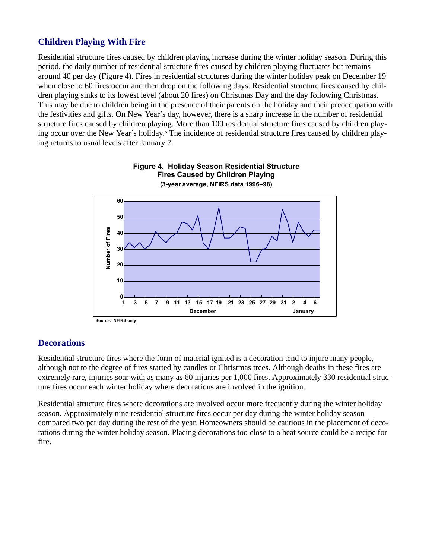# **Children Playing With Fire**

Residential structure fires caused by children playing increase during the winter holiday season. During this period, the daily number of residential structure fires caused by children playing fluctuates but remains around 40 per day (Figure 4). Fires in residential structures during the winter holiday peak on December 19 when close to 60 fires occur and then drop on the following days. Residential structure fires caused by children playing sinks to its lowest level (about 20 fires) on Christmas Day and the day following Christmas. This may be due to children being in the presence of their parents on the holiday and their preoccupation with the festivities and gifts. On New Year's day, however, there is a sharp increase in the number of residential structure fires caused by children playing. More than 100 residential structure fires caused by children playing occur over the New Year's holiday. <sup>5</sup> The incidence of residential structure fires caused by children playing returns to usual levels after January 7.



#### **Figure 4. Holiday Season Residential Structure Fires Caused by Children Playing (3-year average, NFIRS data 1996–98)**

#### **Decorations**

Residential structure fires where the form of material ignited is a decoration tend to injure many people, although not to the degree of fires started by candles or Christmas trees. Although deaths in these fires are extremely rare, injuries soar with as many as 60 injuries per 1,000 fires. Approximately 330 residential structure fires occur each winter holiday where decorations are involved in the ignition.

Residential structure fires where decorations are involved occur more frequently during the winter holiday season. Approximately nine residential structure fires occur per day during the winter holiday season compared two per day during the rest of the year. Homeowners should be cautious in the placement of decorations during the winter holiday season. Placing decorations too close to a heat source could be a recipe for fire.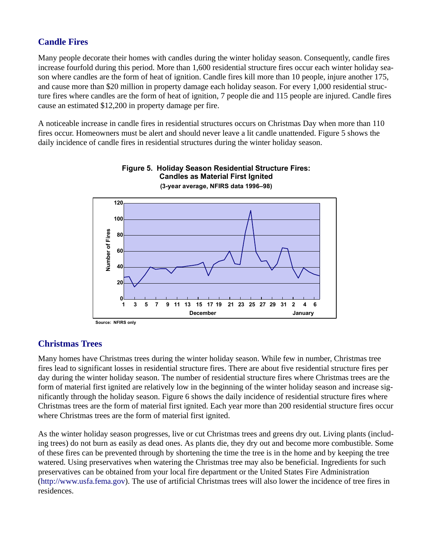# **Candle Fires**

Many people decorate their homes with candles during the winter holiday season. Consequently, candle fires increase fourfold during this period. More than 1,600 residential structure fires occur each winter holiday season where candles are the form of heat of ignition. Candle fires kill more than 10 people, injure another 175, and cause more than \$20 million in property damage each holiday season. For every 1,000 residential structure fires where candles are the form of heat of ignition, 7 people die and 115 people are injured. Candle fires cause an estimated \$12,200 in property damage per fire.

A noticeable increase in candle fires in residential structures occurs on Christmas Day when more than 110 fires occur. Homeowners must be alert and should never leave a lit candle unattended. Figure 5 shows the daily incidence of candle fires in residential structures during the winter holiday season.



#### **Figure 5. Holiday Season Residential Structure Fires: Candles as Material First Ignited (3-year average, NFIRS data 1996–98)**

#### **Christmas Trees**

Many homes have Christmas trees during the winter holiday season. While few in number, Christmas tree fires lead to significant losses in residential structure fires. There are about five residential structure fires per day during the winter holiday season. The number of residential structure fires where Christmas trees are the form of material first ignited are relatively low in the beginning of the winter holiday season and increase significantly through the holiday season. Figure 6 shows the daily incidence of residential structure fires where Christmas trees are the form of material first ignited. Each year more than 200 residential structure fires occur where Christmas trees are the form of material first ignited.

As the winter holiday season progresses, live or cut Christmas trees and greens dry out. Living plants (including trees) do not burn as easily as dead ones. As plants die, they dry out and become more combustible. Some of these fires can be prevented through by shortening the time the tree is in the home and by keeping the tree watered. Using preservatives when watering the Christmas tree may also be beneficial. Ingredients for such preservatives can be obtained from your local fire department or the United States Fire Administration (<http://www.usfa.fema.gov>). The use of artificial Christmas trees will also lower the incidence of tree fires in residences.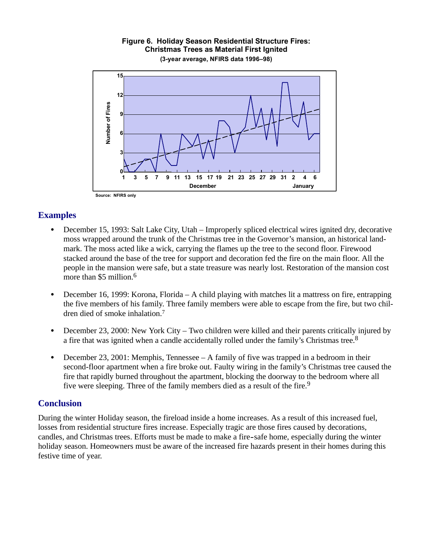

#### **Figure 6. Holiday Season Residential Structure Fires: Christmas Trees as Material First Ignited (3-year average, NFIRS data 1996–98)**

**Source: NFIRS only**

### **Examples**

- December 15, 1993: Salt Lake City, Utah Improperly spliced electrical wires ignited dry, decorative moss wrapped around the trunk of the Christmas tree in the Governor's mansion, an historical landmark. The moss acted like a wick, carrying the flames up the tree to the second floor. Firewood stacked around the base of the tree for support and decoration fed the fire on the main floor. All the people in the mansion were safe, but a state treasure was nearly lost. Restoration of the mansion cost more than \$5 million.<sup>6</sup>
- December 16, 1999: Korona, Florida A child playing with matches lit a mattress on fire, entrapping the five members of his family. Three family members were able to escape from the fire, but two children died of smoke inhalation.7
- December 23, 2000: New York City Two children were killed and their parents critically injured by a fire that was ignited when a candle accidentally rolled under the family's Christmas tree.<sup>8</sup>
- December 23, 2001: Memphis, Tennessee A family of five was trapped in a bedroom in their second-floor apartment when a fire broke out. Faulty wiring in the family's Christmas tree caused the fire that rapidly burned throughout the apartment, blocking the doorway to the bedroom where all five were sleeping. Three of the family members died as a result of the fire.<sup>9</sup>

#### **Conclusion**

candles, and Christmas trees. Efforts must be made to make a fire-safe home, especially during the winter During the winter Holiday season, the fireload inside a home increases. As a result of this increased fuel, losses from residential structure fires increase. Especially tragic are those fires caused by decorations, holiday season. Homeowners must be aware of the increased fire hazards present in their homes during this festive time of year.